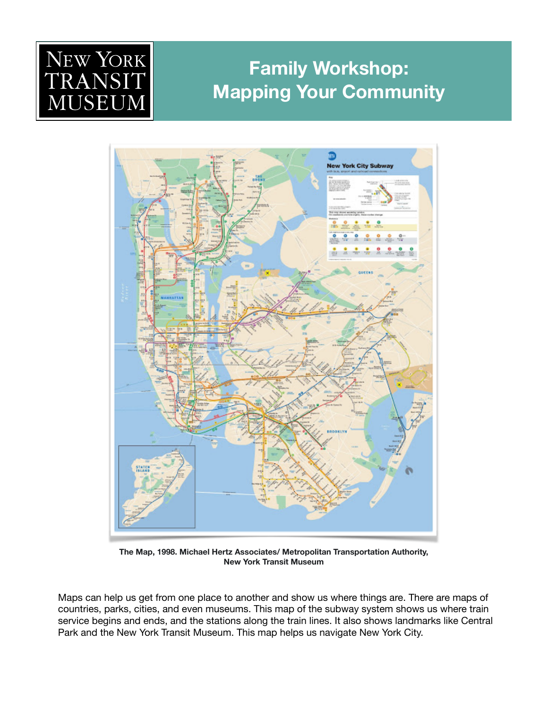# NEW YORK JSEI  ${\rm J} {\rm N}$

## **Family Workshop: Mapping Your Community**



**The Map, 1998. Michael Hertz Associates/ Metropolitan Transportation Authority, New York Transit Museum** 

Maps can help us get from one place to another and show us where things are. There are maps of countries, parks, cities, and even museums. This map of the subway system shows us where train service begins and ends, and the stations along the train lines. It also shows landmarks like Central Park and the New York Transit Museum. This map helps us navigate New York City.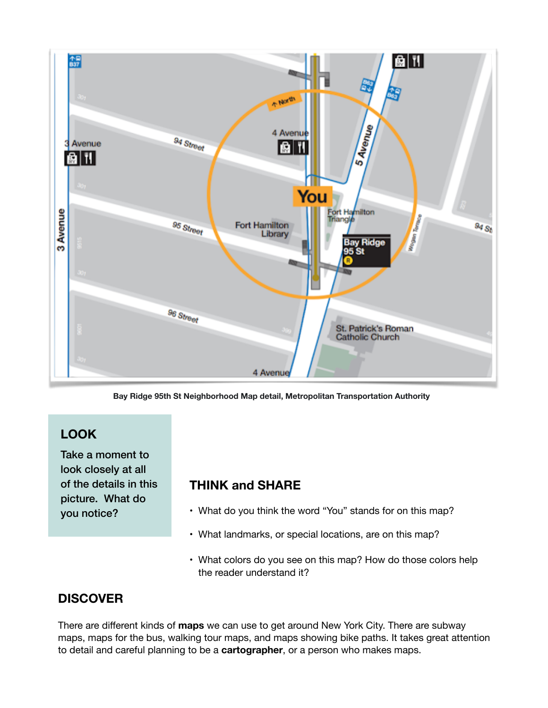

**Bay Ridge 95th St Neighborhood Map detail, Metropolitan Transportation Authority** 

## **LOOK**

Take a moment to look closely at all of the details in this picture. What do you notice?

### **THINK and SHARE**

- What do you think the word "You" stands for on this map?
- What landmarks, or special locations, are on this map?
- What colors do you see on this map? How do those colors help the reader understand it?

## **DISCOVER**

There are different kinds of **maps** we can use to get around New York City. There are subway maps, maps for the bus, walking tour maps, and maps showing bike paths. It takes great attention to detail and careful planning to be a **cartographer**, or a person who makes maps.